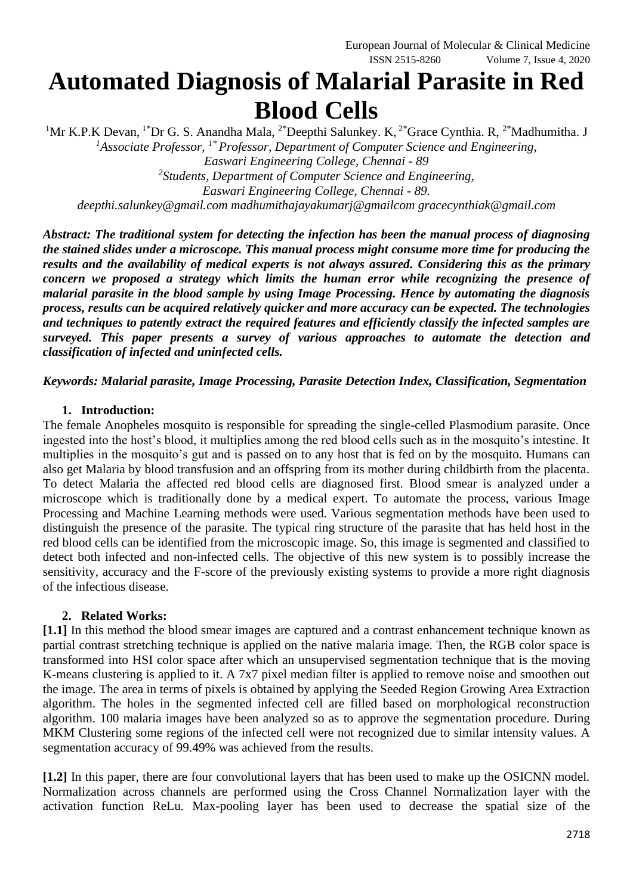# **Automated Diagnosis of Malarial Parasite in Red Blood Cells**

<sup>1</sup>Mr K.P.K Devan, <sup>1\*</sup>Dr G. S. Anandha Mala, <sup>2\*</sup>Deepthi Salunkey. K, <sup>2\*</sup>Grace Cynthia. R, <sup>2\*</sup>Madhumitha. J *<sup>1</sup>Associate Professor, 1\* Professor, Department of Computer Science and Engineering, Easwari Engineering College, Chennai - 89 2 Students, Department of Computer Science and Engineering, Easwari Engineering College, Chennai - 89. deepthi.salunkey@gmail.com madhumithajayakumarj@gmailcom gracecynthiak@gmail.com*

*Abstract: The traditional system for detecting the infection has been the manual process of diagnosing the stained slides under a microscope. This manual process might consume more time for producing the results and the availability of medical experts is not always assured. Considering this as the primary concern we proposed a strategy which limits the human error while recognizing the presence of malarial parasite in the blood sample by using Image Processing. Hence by automating the diagnosis process, results can be acquired relatively quicker and more accuracy can be expected. The technologies and techniques to patently extract the required features and efficiently classify the infected samples are surveyed. This paper presents a survey of various approaches to automate the detection and* 

*Keywords: Malarial parasite, Image Processing, Parasite Detection Index, Classification, Segmentation*

#### **1. Introduction:**

*classification of infected and uninfected cells.*

The female Anopheles mosquito is responsible for spreading the single-celled Plasmodium parasite. Once ingested into the host's blood, it multiplies among the red blood cells such as in the mosquito's intestine. It multiplies in the mosquito's gut and is passed on to any host that is fed on by the mosquito. Humans can also get Malaria by blood transfusion and an offspring from its mother during childbirth from the placenta. To detect Malaria the affected red blood cells are diagnosed first. Blood smear is analyzed under a microscope which is traditionally done by a medical expert. To automate the process, various Image Processing and Machine Learning methods were used. Various segmentation methods have been used to distinguish the presence of the parasite. The typical ring structure of the parasite that has held host in the red blood cells can be identified from the microscopic image. So, this image is segmented and classified to detect both infected and non-infected cells. The objective of this new system is to possibly increase the sensitivity, accuracy and the F-score of the previously existing systems to provide a more right diagnosis of the infectious disease.

### **2. Related Works:**

**[1.1]** In this method the blood smear images are captured and a contrast enhancement technique known as partial contrast stretching technique is applied on the native malaria image. Then, the RGB color space is transformed into HSI color space after which an unsupervised segmentation technique that is the moving K-means clustering is applied to it. A 7x7 pixel median filter is applied to remove noise and smoothen out the image. The area in terms of pixels is obtained by applying the Seeded Region Growing Area Extraction algorithm. The holes in the segmented infected cell are filled based on morphological reconstruction algorithm. 100 malaria images have been analyzed so as to approve the segmentation procedure. During MKM Clustering some regions of the infected cell were not recognized due to similar intensity values. A segmentation accuracy of 99.49% was achieved from the results.

**[1.2]** In this paper, there are four convolutional layers that has been used to make up the OSICNN model. Normalization across channels are performed using the Cross Channel Normalization layer with the activation function ReLu. Max-pooling layer has been used to decrease the spatial size of the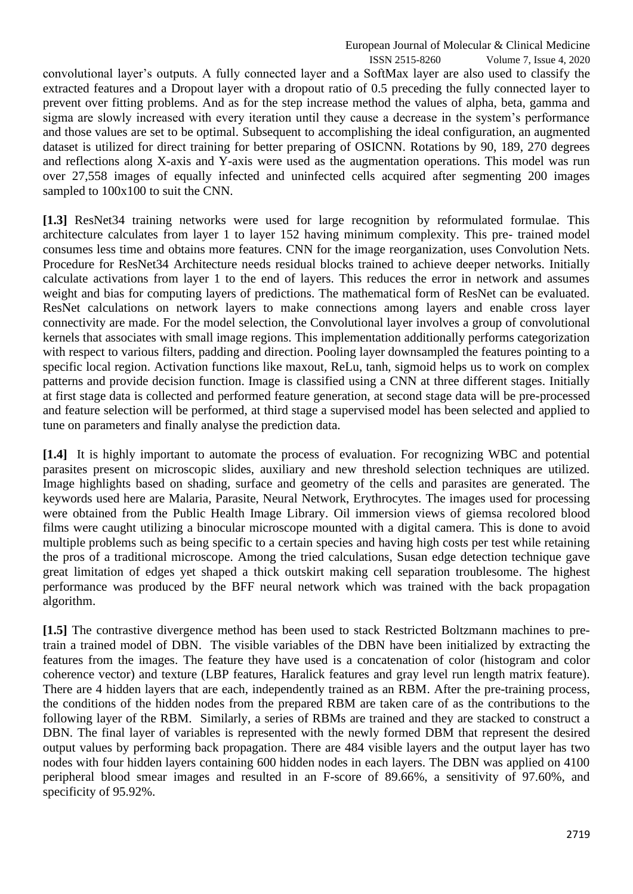European Journal of Molecular & Clinical Medicine

 ISSN 2515-8260 Volume 7, Issue 4, 2020 convolutional layer's outputs. A fully connected layer and a SoftMax layer are also used to classify the extracted features and a Dropout layer with a dropout ratio of 0.5 preceding the fully connected layer to prevent over fitting problems. And as for the step increase method the values of alpha, beta, gamma and sigma are slowly increased with every iteration until they cause a decrease in the system's performance and those values are set to be optimal. Subsequent to accomplishing the ideal configuration, an augmented dataset is utilized for direct training for better preparing of OSICNN. Rotations by 90, 189, 270 degrees and reflections along X-axis and Y-axis were used as the augmentation operations. This model was run over 27,558 images of equally infected and uninfected cells acquired after segmenting 200 images sampled to 100x100 to suit the CNN.

**[1.3]** ResNet34 training networks were used for large recognition by reformulated formulae. This architecture calculates from layer 1 to layer 152 having minimum complexity. This pre- trained model consumes less time and obtains more features. CNN for the image reorganization, uses Convolution Nets. Procedure for ResNet34 Architecture needs residual blocks trained to achieve deeper networks. Initially calculate activations from layer 1 to the end of layers. This reduces the error in network and assumes weight and bias for computing layers of predictions. The mathematical form of ResNet can be evaluated. ResNet calculations on network layers to make connections among layers and enable cross layer connectivity are made. For the model selection, the Convolutional layer involves a group of convolutional kernels that associates with small image regions. This implementation additionally performs categorization with respect to various filters, padding and direction. Pooling layer downsampled the features pointing to a specific local region. Activation functions like maxout, ReLu, tanh, sigmoid helps us to work on complex patterns and provide decision function. Image is classified using a CNN at three different stages. Initially at first stage data is collected and performed feature generation, at second stage data will be pre-processed and feature selection will be performed, at third stage a supervised model has been selected and applied to tune on parameters and finally analyse the prediction data.

**[1.4]** It is highly important to automate the process of evaluation. For recognizing WBC and potential parasites present on microscopic slides, auxiliary and new threshold selection techniques are utilized. Image highlights based on shading, surface and geometry of the cells and parasites are generated. The keywords used here are Malaria, Parasite, Neural Network, Erythrocytes. The images used for processing were obtained from the Public Health Image Library. Oil immersion views of giemsa recolored blood films were caught utilizing a binocular microscope mounted with a digital camera. This is done to avoid multiple problems such as being specific to a certain species and having high costs per test while retaining the pros of a traditional microscope. Among the tried calculations, Susan edge detection technique gave great limitation of edges yet shaped a thick outskirt making cell separation troublesome. The highest performance was produced by the BFF neural network which was trained with the back propagation algorithm.

**[1.5]** The contrastive divergence method has been used to stack Restricted Boltzmann machines to pretrain a trained model of DBN. The visible variables of the DBN have been initialized by extracting the features from the images. The feature they have used is a concatenation of color (histogram and color coherence vector) and texture (LBP features, Haralick features and gray level run length matrix feature). There are 4 hidden layers that are each, independently trained as an RBM. After the pre-training process, the conditions of the hidden nodes from the prepared RBM are taken care of as the contributions to the following layer of the RBM. Similarly, a series of RBMs are trained and they are stacked to construct a DBN. The final layer of variables is represented with the newly formed DBM that represent the desired output values by performing back propagation. There are 484 visible layers and the output layer has two nodes with four hidden layers containing 600 hidden nodes in each layers. The DBN was applied on 4100 peripheral blood smear images and resulted in an F-score of 89.66%, a sensitivity of 97.60%, and specificity of 95.92%.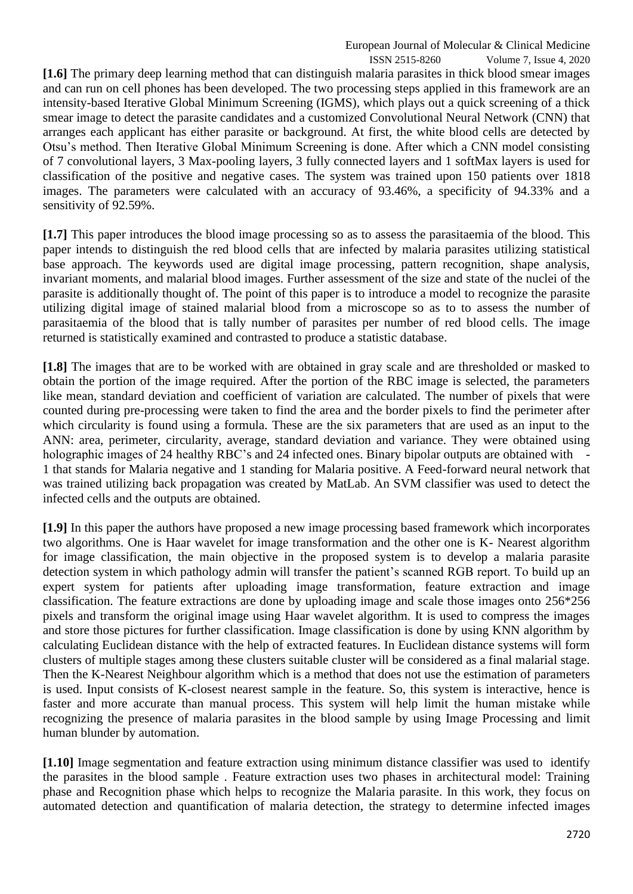ISSN 2515-8260 Volume 7, Issue 4, 2020 **[1.6]** The primary deep learning method that can distinguish malaria parasites in thick blood smear images and can run on cell phones has been developed. The two processing steps applied in this framework are an intensity-based Iterative Global Minimum Screening (IGMS), which plays out a quick screening of a thick smear image to detect the parasite candidates and a customized Convolutional Neural Network (CNN) that arranges each applicant has either parasite or background. At first, the white blood cells are detected by Otsu's method. Then Iterative Global Minimum Screening is done. After which a CNN model consisting of 7 convolutional layers, 3 Max-pooling layers, 3 fully connected layers and 1 softMax layers is used for classification of the positive and negative cases. The system was trained upon 150 patients over 1818 images. The parameters were calculated with an accuracy of 93.46%, a specificity of 94.33% and a sensitivity of 92.59%.

**[1.7]** This paper introduces the blood image processing so as to assess the parasitaemia of the blood. This paper intends to distinguish the red blood cells that are infected by malaria parasites utilizing statistical base approach. The keywords used are digital image processing, pattern recognition, shape analysis, invariant moments, and malarial blood images. Further assessment of the size and state of the nuclei of the parasite is additionally thought of. The point of this paper is to introduce a model to recognize the parasite utilizing digital image of stained malarial blood from a microscope so as to to assess the number of parasitaemia of the blood that is tally number of parasites per number of red blood cells. The image returned is statistically examined and contrasted to produce a statistic database.

**[1.8]** The images that are to be worked with are obtained in gray scale and are thresholded or masked to obtain the portion of the image required. After the portion of the RBC image is selected, the parameters like mean, standard deviation and coefficient of variation are calculated. The number of pixels that were counted during pre-processing were taken to find the area and the border pixels to find the perimeter after which circularity is found using a formula. These are the six parameters that are used as an input to the ANN: area, perimeter, circularity, average, standard deviation and variance. They were obtained using holographic images of 24 healthy RBC's and 24 infected ones. Binary bipolar outputs are obtained with 1 that stands for Malaria negative and 1 standing for Malaria positive. A Feed-forward neural network that was trained utilizing back propagation was created by MatLab. An SVM classifier was used to detect the infected cells and the outputs are obtained.

**[1.9]** In this paper the authors have proposed a new image processing based framework which incorporates two algorithms. One is Haar wavelet for image transformation and the other one is K- Nearest algorithm for image classification, the main objective in the proposed system is to develop a malaria parasite detection system in which pathology admin will transfer the patient's scanned RGB report. To build up an expert system for patients after uploading image transformation, feature extraction and image classification. The feature extractions are done by uploading image and scale those images onto 256\*256 pixels and transform the original image using Haar wavelet algorithm. It is used to compress the images and store those pictures for further classification. Image classification is done by using KNN algorithm by calculating Euclidean distance with the help of extracted features. In Euclidean distance systems will form clusters of multiple stages among these clusters suitable cluster will be considered as a final malarial stage. Then the K-Nearest Neighbour algorithm which is a method that does not use the estimation of parameters is used. Input consists of K-closest nearest sample in the feature. So, this system is interactive, hence is faster and more accurate than manual process. This system will help limit the human mistake while recognizing the presence of malaria parasites in the blood sample by using Image Processing and limit human blunder by automation.

**[1.10]** Image segmentation and feature extraction using minimum distance classifier was used to identify the parasites in the blood sample . Feature extraction uses two phases in architectural model: Training phase and Recognition phase which helps to recognize the Malaria parasite. In this work, they focus on automated detection and quantification of malaria detection, the strategy to determine infected images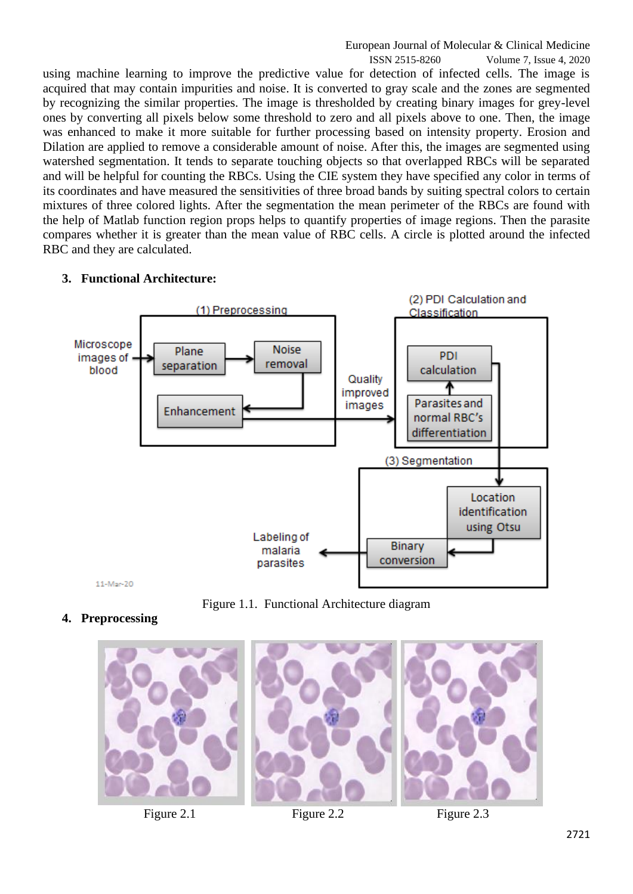ISSN 2515-8260 Volume 7, Issue 4, 2020 using machine learning to improve the predictive value for detection of infected cells. The image is acquired that may contain impurities and noise. It is converted to gray scale and the zones are segmented by recognizing the similar properties. The image is thresholded by creating binary images for grey-level ones by converting all pixels below some threshold to zero and all pixels above to one. Then, the image was enhanced to make it more suitable for further processing based on intensity property. Erosion and Dilation are applied to remove a considerable amount of noise. After this, the images are segmented using watershed segmentation. It tends to separate touching objects so that overlapped RBCs will be separated and will be helpful for counting the RBCs. Using the CIE system they have specified any color in terms of its coordinates and have measured the sensitivities of three broad bands by suiting spectral colors to certain mixtures of three colored lights. After the segmentation the mean perimeter of the RBCs are found with the help of Matlab function region props helps to quantify properties of image regions. Then the parasite compares whether it is greater than the mean value of RBC cells. A circle is plotted around the infected RBC and they are calculated.



## **3. Functional Architecture:**

Figure 1.1. Functional Architecture diagram

# **4. Preprocessing**





Figure 2.1 Figure 2.2 Figure 2.3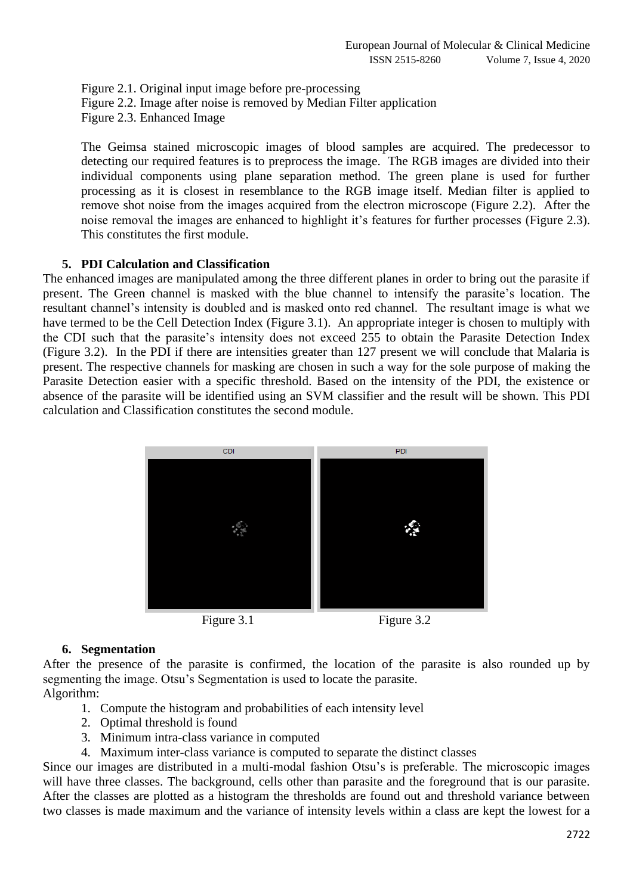Figure 2.1. Original input image before pre-processing Figure 2.2. Image after noise is removed by Median Filter application Figure 2.3. Enhanced Image

The Geimsa stained microscopic images of blood samples are acquired. The predecessor to detecting our required features is to preprocess the image. The RGB images are divided into their individual components using plane separation method. The green plane is used for further processing as it is closest in resemblance to the RGB image itself. Median filter is applied to remove shot noise from the images acquired from the electron microscope (Figure 2.2). After the noise removal the images are enhanced to highlight it's features for further processes (Figure 2.3). This constitutes the first module.

## **5. PDI Calculation and Classification**

The enhanced images are manipulated among the three different planes in order to bring out the parasite if present. The Green channel is masked with the blue channel to intensify the parasite's location. The resultant channel's intensity is doubled and is masked onto red channel. The resultant image is what we have termed to be the Cell Detection Index (Figure 3.1). An appropriate integer is chosen to multiply with the CDI such that the parasite's intensity does not exceed 255 to obtain the Parasite Detection Index (Figure 3.2). In the PDI if there are intensities greater than 127 present we will conclude that Malaria is present. The respective channels for masking are chosen in such a way for the sole purpose of making the Parasite Detection easier with a specific threshold. Based on the intensity of the PDI, the existence or absence of the parasite will be identified using an SVM classifier and the result will be shown. This PDI calculation and Classification constitutes the second module.



# **6. Segmentation**

After the presence of the parasite is confirmed, the location of the parasite is also rounded up by segmenting the image. Otsu's Segmentation is used to locate the parasite. Algorithm:

- 1. Compute the histogram and probabilities of each intensity level
- 2. Optimal threshold is found
- 3. Minimum intra-class variance in computed
- 4. Maximum inter-class variance is computed to separate the distinct classes

Since our images are distributed in a multi-modal fashion Otsu's is preferable. The microscopic images will have three classes. The background, cells other than parasite and the foreground that is our parasite. After the classes are plotted as a histogram the thresholds are found out and threshold variance between two classes is made maximum and the variance of intensity levels within a class are kept the lowest for a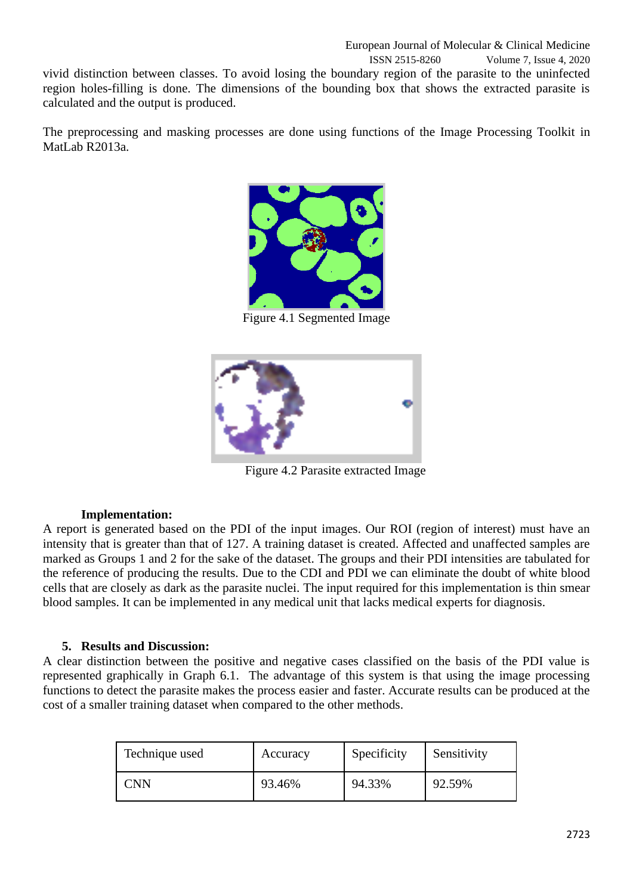vivid distinction between classes. To avoid losing the boundary region of the parasite to the uninfected region holes-filling is done. The dimensions of the bounding box that shows the extracted parasite is calculated and the output is produced.

The preprocessing and masking processes are done using functions of the Image Processing Toolkit in MatLab R2013a.



Figure 4.1 Segmented Image



Figure 4.2 Parasite extracted Image

### **Implementation:**

A report is generated based on the PDI of the input images. Our ROI (region of interest) must have an intensity that is greater than that of 127. A training dataset is created. Affected and unaffected samples are marked as Groups 1 and 2 for the sake of the dataset. The groups and their PDI intensities are tabulated for the reference of producing the results. Due to the CDI and PDI we can eliminate the doubt of white blood cells that are closely as dark as the parasite nuclei. The input required for this implementation is thin smear blood samples. It can be implemented in any medical unit that lacks medical experts for diagnosis.

### **5. Results and Discussion:**

A clear distinction between the positive and negative cases classified on the basis of the PDI value is represented graphically in Graph 6.1. The advantage of this system is that using the image processing functions to detect the parasite makes the process easier and faster. Accurate results can be produced at the cost of a smaller training dataset when compared to the other methods.

| Technique used | Accuracy | Specificity | Sensitivity |
|----------------|----------|-------------|-------------|
| CNN            | 93.46%   | 94.33%      | 92.59%      |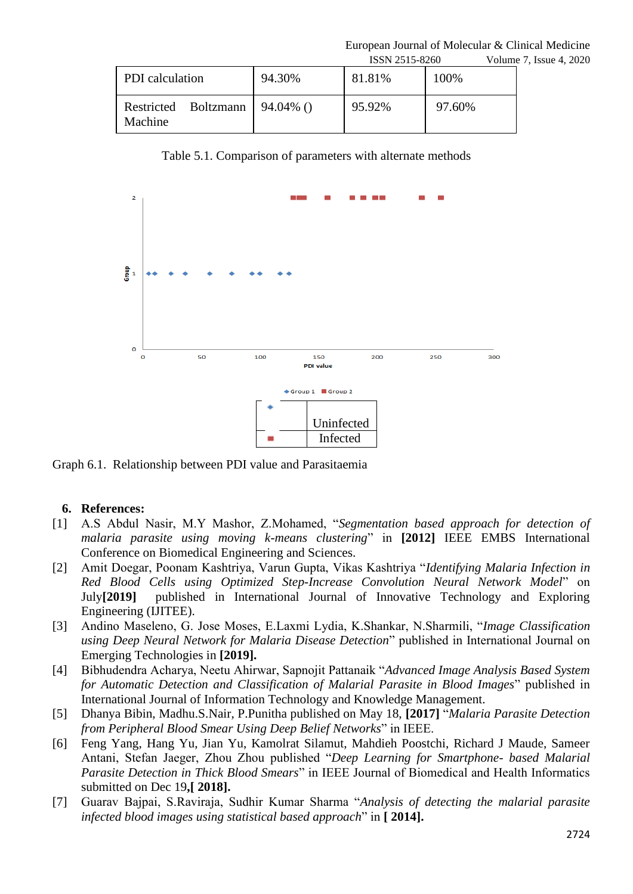European Journal of Molecular & Clinical Medicine

|                                 |              | ISSN 2515-8260 |        | Volume 7, Issue 4, 2020 |  |
|---------------------------------|--------------|----------------|--------|-------------------------|--|
| PDI calculation                 | 94.30%       | 81.81%         | 100%   |                         |  |
| Restricted Boltzmann<br>Machine | $94.04\%$ () | 95.92%         | 97.60% |                         |  |

Table 5.1. Comparison of parameters with alternate methods



Graph 6.1. Relationship between PDI value and Parasitaemia

#### **6. References:**

- [1] A.S Abdul Nasir, M.Y Mashor, Z.Mohamed, "*Segmentation based approach for detection of malaria parasite using moving k-means clustering*" in **[2012]** IEEE EMBS International Conference on Biomedical Engineering and Sciences.
- [2] Amit Doegar, Poonam Kashtriya, Varun Gupta, Vikas Kashtriya "*Identifying Malaria Infection in Red Blood Cells using Optimized Step-Increase Convolution Neural Network Model*" on July**[2019]** published in International Journal of Innovative Technology and Exploring Engineering (IJITEE).
- [3] Andino Maseleno, G. Jose Moses, E.Laxmi Lydia, K.Shankar, N.Sharmili, "*Image Classification using Deep Neural Network for Malaria Disease Detection*" published in International Journal on Emerging Technologies in **[2019].**
- [4] Bibhudendra Acharya, Neetu Ahirwar, Sapnojit Pattanaik "*Advanced Image Analysis Based System for Automatic Detection and Classification of Malarial Parasite in Blood Images*" published in International Journal of Information Technology and Knowledge Management.
- [5] Dhanya Bibin, Madhu.S.Nair, P.Punitha published on May 18, **[2017]** "*Malaria Parasite Detection from Peripheral Blood Smear Using Deep Belief Networks*" in IEEE.
- [6] Feng Yang, Hang Yu, Jian Yu, Kamolrat Silamut, Mahdieh Poostchi, Richard J Maude, Sameer Antani, Stefan Jaeger, Zhou Zhou published "*Deep Learning for Smartphone- based Malarial Parasite Detection in Thick Blood Smears*" in IEEE Journal of Biomedical and Health Informatics submitted on Dec 19**,[ 2018].**
- [7] Guarav Bajpai, S.Raviraja, Sudhir Kumar Sharma "*Analysis of detecting the malarial parasite infected blood images using statistical based approach*" in **[ 2014].**